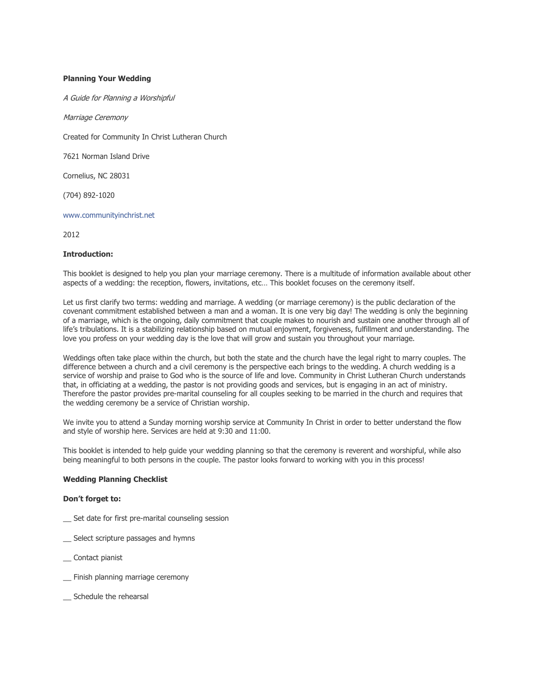# **Planning Your Wedding**

A Guide for Planning a Worshipful

Marriage Ceremony

Created for Community In Christ Lutheran Church

7621 Norman Island Drive

Cornelius, NC 28031

(704) 892-1020

[www.communityinchrist.net](http://www.stmatthewsbridgeport.org/)

2012

## **Introduction:**

This booklet is designed to help you plan your marriage ceremony. There is a multitude of information available about other aspects of a wedding: the reception, flowers, invitations, etc… This booklet focuses on the ceremony itself.

Let us first clarify two terms: wedding and marriage. A wedding (or marriage ceremony) is the public declaration of the covenant commitment established between a man and a woman. It is one very big day! The wedding is only the beginning of a marriage, which is the ongoing, daily commitment that couple makes to nourish and sustain one another through all of life's tribulations. It is a stabilizing relationship based on mutual enjoyment, forgiveness, fulfillment and understanding. The love you profess on your wedding day is the love that will grow and sustain you throughout your marriage.

Weddings often take place within the church, but both the state and the church have the legal right to marry couples. The difference between a church and a civil ceremony is the perspective each brings to the wedding. A church wedding is a service of worship and praise to God who is the source of life and love. Community in Christ Lutheran Church understands that, in officiating at a wedding, the pastor is not providing goods and services, but is engaging in an act of ministry. Therefore the pastor provides pre-marital counseling for all couples seeking to be married in the church and requires that the wedding ceremony be a service of Christian worship.

We invite you to attend a Sunday morning worship service at Community In Christ in order to better understand the flow and style of worship here. Services are held at 9:30 and 11:00.

This booklet is intended to help guide your wedding planning so that the ceremony is reverent and worshipful, while also being meaningful to both persons in the couple. The pastor looks forward to working with you in this process!

## **Wedding Planning Checklist**

## **Don't forget to:**

- \_\_ Set date for first pre-marital counseling session
- \_\_ Select scripture passages and hymns
- Contact pianist
- \_\_ Finish planning marriage ceremony
- \_\_ Schedule the rehearsal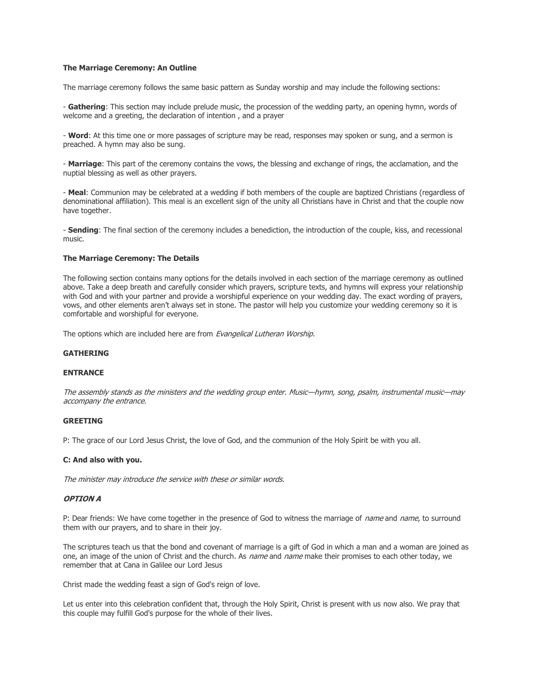# **The Marriage Ceremony: An Outline**

The marriage ceremony follows the same basic pattern as Sunday worship and may include the following sections:

- **Gathering**: This section may include prelude music, the procession of the wedding party, an opening hymn, words of welcome and a greeting, the declaration of intention , and a prayer

- **Word**: At this time one or more passages of scripture may be read, responses may spoken or sung, and a sermon is preached. A hymn may also be sung.

- **Marriage**: This part of the ceremony contains the vows, the blessing and exchange of rings, the acclamation, and the nuptial blessing as well as other prayers.

- **Meal**: Communion may be celebrated at a wedding if both members of the couple are baptized Christians (regardless of denominational affiliation). This meal is an excellent sign of the unity all Christians have in Christ and that the couple now have together.

- **Sending**: The final section of the ceremony includes a benediction, the introduction of the couple, kiss, and recessional music.

## **The Marriage Ceremony: The Details**

The following section contains many options for the details involved in each section of the marriage ceremony as outlined above. Take a deep breath and carefully consider which prayers, scripture texts, and hymns will express your relationship with God and with your partner and provide a worshipful experience on your wedding day. The exact wording of prayers, vows, and other elements aren't always set in stone. The pastor will help you customize your wedding ceremony so it is comfortable and worshipful for everyone.

The options which are included here are from Evangelical Lutheran Worship.

# **GATHERING**

# **ENTRANCE**

The assembly stands as the ministers and the wedding group enter. Music—hymn, song, psalm, instrumental music—may accompany the entrance.

### **GREETING**

P: The grace of our Lord Jesus Christ, the love of God, and the communion of the Holy Spirit be with you all.

#### **C: And also with you.**

The minister may introduce the service with these or similar words.

#### **OPTION A**

P: Dear friends: We have come together in the presence of God to witness the marriage of *name* and *name*, to surround them with our prayers, and to share in their joy.

The scriptures teach us that the bond and covenant of marriage is a gift of God in which a man and a woman are joined as one, an image of the union of Christ and the church. As name and name make their promises to each other today, we remember that at Cana in Galilee our Lord Jesus

Christ made the wedding feast a sign of God's reign of love.

Let us enter into this celebration confident that, through the Holy Spirit, Christ is present with us now also. We pray that this couple may fulfill God's purpose for the whole of their lives.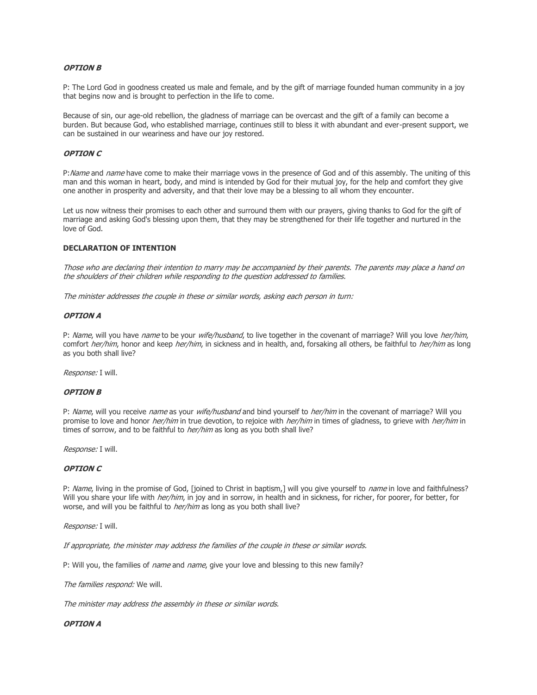## **OPTION B**

P: The Lord God in goodness created us male and female, and by the gift of marriage founded human community in a joy that begins now and is brought to perfection in the life to come.

Because of sin, our age-old rebellion, the gladness of marriage can be overcast and the gift of a family can become a burden. But because God, who established marriage, continues still to bless it with abundant and ever-present support, we can be sustained in our weariness and have our joy restored.

## **OPTION C**

P: Name and name have come to make their marriage vows in the presence of God and of this assembly. The uniting of this man and this woman in heart, body, and mind is intended by God for their mutual joy, for the help and comfort they give one another in prosperity and adversity, and that their love may be a blessing to all whom they encounter.

Let us now witness their promises to each other and surround them with our prayers, giving thanks to God for the gift of marriage and asking God's blessing upon them, that they may be strengthened for their life together and nurtured in the love of God.

#### **DECLARATION OF INTENTION**

Those who are declaring their intention to marry may be accompanied by their parents. The parents may place a hand on the shoulders of their children while responding to the question addressed to families.

The minister addresses the couple in these or similar words, asking each person in turn:

#### **OPTION A**

P: Name, will you have name to be your wife/husband, to live together in the covenant of marriage? Will you love her/him, comfort her/him, honor and keep her/him, in sickness and in health, and, forsaking all others, be faithful to her/him as long as you both shall live?

Response: I will.

## **OPTION B**

P: Name, will you receive name as your wife/husband and bind yourself to her/him in the covenant of marriage? Will you promise to love and honor her/him in true devotion, to rejoice with her/him in times of gladness, to grieve with her/him in times of sorrow, and to be faithful to her/him as long as you both shall live?

Response: I will.

## **OPTION C**

P: Name, living in the promise of God, [joined to Christ in baptism,] will you give yourself to name in love and faithfulness? Will you share your life with her/him, in joy and in sorrow, in health and in sickness, for richer, for poorer, for better, for worse, and will you be faithful to *her/him* as long as you both shall live?

Response: I will.

If appropriate, the minister may address the families of the couple in these or similar words.

P: Will you, the families of name and name, give your love and blessing to this new family?

The families respond: We will.

The minister may address the assembly in these or similar words.

## **OPTION A**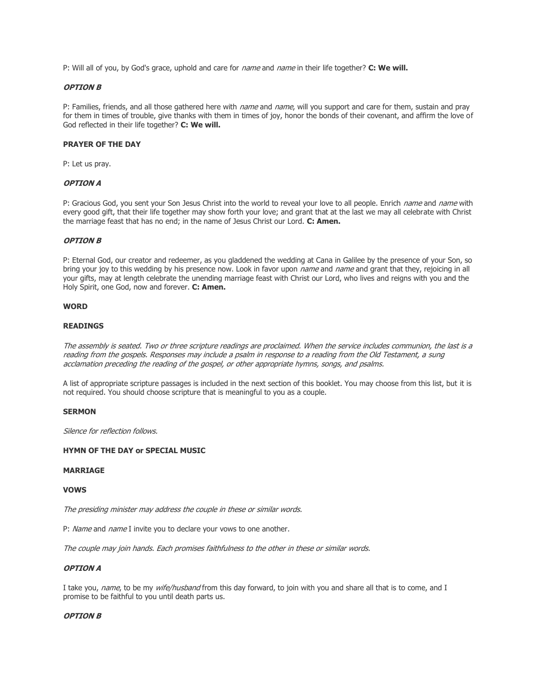P: Will all of you, by God's grace, uphold and care for name and name in their life together? **C: We will.**

# **OPTION B**

P: Families, friends, and all those gathered here with name and name, will you support and care for them, sustain and pray for them in times of trouble, give thanks with them in times of joy, honor the bonds of their covenant, and affirm the love of God reflected in their life together? **C: We will.**

# **PRAYER OF THE DAY**

P: Let us pray.

## **OPTION A**

P: Gracious God, you sent your Son Jesus Christ into the world to reveal your love to all people. Enrich name and name with every good gift, that their life together may show forth your love; and grant that at the last we may all celebrate with Christ the marriage feast that has no end; in the name of Jesus Christ our Lord. **C: Amen.**

## **OPTION B**

P: Eternal God, our creator and redeemer, as you gladdened the wedding at Cana in Galilee by the presence of your Son, so bring your joy to this wedding by his presence now. Look in favor upon *name* and *name* and grant that they, rejoicing in all your gifts, may at length celebrate the unending marriage feast with Christ our Lord, who lives and reigns with you and the Holy Spirit, one God, now and forever. **C: Amen.**

## **WORD**

## **READINGS**

The assembly is seated. Two or three scripture readings are proclaimed. When the service includes communion, the last is a reading from the gospels. Responses may include a psalm in response to a reading from the Old Testament, a sung acclamation preceding the reading of the gospel, or other appropriate hymns, songs, and psalms.

A list of appropriate scripture passages is included in the next section of this booklet. You may choose from this list, but it is not required. You should choose scripture that is meaningful to you as a couple.

## **SERMON**

Silence for reflection follows.

# **HYMN OF THE DAY or SPECIAL MUSIC**

## **MARRIAGE**

## **VOWS**

The presiding minister may address the couple in these or similar words.

P: Name and name I invite you to declare your vows to one another.

The couple may join hands. Each promises faithfulness to the other in these or similar words.

## **OPTION A**

I take you, name, to be my wife/husband from this day forward, to join with you and share all that is to come, and I promise to be faithful to you until death parts us.

## **OPTION B**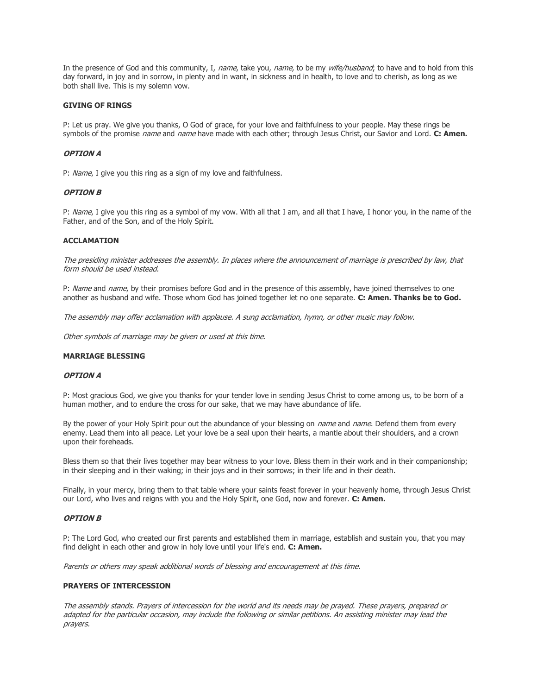In the presence of God and this community, I, name, take you, name, to be my wife/husband; to have and to hold from this day forward, in joy and in sorrow, in plenty and in want, in sickness and in health, to love and to cherish, as long as we both shall live. This is my solemn vow.

## **GIVING OF RINGS**

P: Let us pray. We give you thanks, O God of grace, for your love and faithfulness to your people. May these rings be symbols of the promise name and name have made with each other; through Jesus Christ, our Savior and Lord. **C: Amen.**

## **OPTION A**

P: Name, I give you this ring as a sign of my love and faithfulness.

# **OPTION B**

P: Name, I give you this ring as a symbol of my vow. With all that I am, and all that I have, I honor you, in the name of the Father, and of the Son, and of the Holy Spirit.

## **ACCLAMATION**

The presiding minister addresses the assembly. In places where the announcement of marriage is prescribed by law, that form should be used instead.

P: Name and name, by their promises before God and in the presence of this assembly, have joined themselves to one another as husband and wife. Those whom God has joined together let no one separate. **C: Amen. Thanks be to God.**

The assembly may offer acclamation with applause. A sung acclamation, hymn, or other music may follow.

Other symbols of marriage may be given or used at this time.

## **MARRIAGE BLESSING**

## **OPTION A**

P: Most gracious God, we give you thanks for your tender love in sending Jesus Christ to come among us, to be born of a human mother, and to endure the cross for our sake, that we may have abundance of life.

By the power of your Holy Spirit pour out the abundance of your blessing on *name* and *name*. Defend them from every enemy. Lead them into all peace. Let your love be a seal upon their hearts, a mantle about their shoulders, and a crown upon their foreheads.

Bless them so that their lives together may bear witness to your love. Bless them in their work and in their companionship; in their sleeping and in their waking; in their joys and in their sorrows; in their life and in their death.

Finally, in your mercy, bring them to that table where your saints feast forever in your heavenly home, through Jesus Christ our Lord, who lives and reigns with you and the Holy Spirit, one God, now and forever. **C: Amen.**

## **OPTION B**

P: The Lord God, who created our first parents and established them in marriage, establish and sustain you, that you may find delight in each other and grow in holy love until your life's end. **C: Amen.**

Parents or others may speak additional words of blessing and encouragement at this time.

## **PRAYERS OF INTERCESSION**

The assembly stands. Prayers of intercession for the world and its needs may be prayed. These prayers, prepared or adapted for the particular occasion, may include the following or similar petitions. An assisting minister may lead the prayers.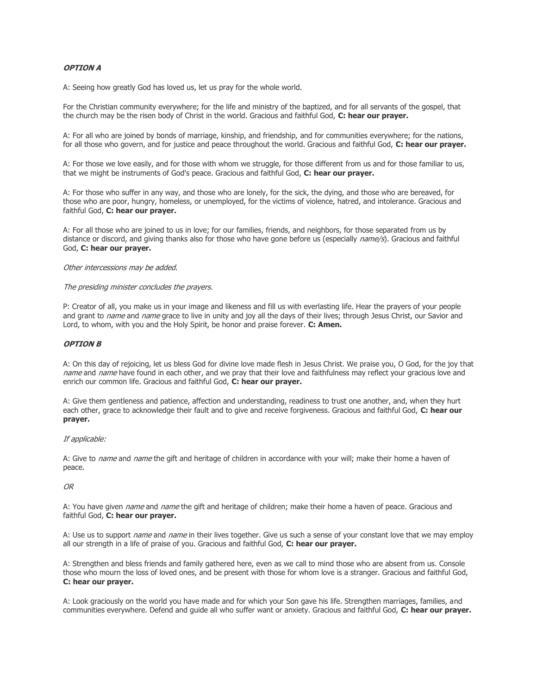# **OPTION A**

A: Seeing how greatly God has loved us, let us pray for the whole world.

For the Christian community everywhere; for the life and ministry of the baptized, and for all servants of the gospel, that the church may be the risen body of Christ in the world. Gracious and faithful God, **C: hear our prayer.**

A: For all who are joined by bonds of marriage, kinship, and friendship, and for communities everywhere; for the nations, for all those who govern, and for justice and peace throughout the world. Gracious and faithful God, **C: hear our prayer.**

A: For those we love easily, and for those with whom we struggle, for those different from us and for those familiar to us, that we might be instruments of God's peace. Gracious and faithful God, **C: hear our prayer.**

A: For those who suffer in any way, and those who are lonely, for the sick, the dying, and those who are bereaved, for those who are poor, hungry, homeless, or unemployed, for the victims of violence, hatred, and intolerance. Gracious and faithful God, **C: hear our prayer.**

A: For all those who are joined to us in love; for our families, friends, and neighbors, for those separated from us by distance or discord, and giving thanks also for those who have gone before us (especially *name/s*). Gracious and faithful God, **C: hear our prayer.**

#### Other intercessions may be added.

#### The presiding minister concludes the prayers.

P: Creator of all, you make us in your image and likeness and fill us with everlasting life. Hear the prayers of your people and grant to name and name grace to live in unity and joy all the days of their lives; through Jesus Christ, our Savior and Lord, to whom, with you and the Holy Spirit, be honor and praise forever. **C: Amen.**

## **OPTION B**

A: On this day of rejoicing, let us bless God for divine love made flesh in Jesus Christ. We praise you, O God, for the joy that name and name have found in each other, and we pray that their love and faithfulness may reflect your gracious love and enrich our common life. Gracious and faithful God, **C: hear our prayer.**

A: Give them gentleness and patience, affection and understanding, readiness to trust one another, and, when they hurt each other, grace to acknowledge their fault and to give and receive forgiveness. Gracious and faithful God, **C: hear our prayer.**

## If applicable:

A: Give to name and name the gift and heritage of children in accordance with your will; make their home a haven of peace.

### OR

A: You have given name and name the gift and heritage of children; make their home a haven of peace. Gracious and faithful God, **C: hear our prayer.**

A: Use us to support *name* and *name* in their lives together. Give us such a sense of your constant love that we may employ all our strength in a life of praise of you. Gracious and faithful God, **C: hear our prayer.**

A: Strengthen and bless friends and family gathered here, even as we call to mind those who are absent from us. Console those who mourn the loss of loved ones, and be present with those for whom love is a stranger. Gracious and faithful God, **C: hear our prayer.**

A: Look graciously on the world you have made and for which your Son gave his life. Strengthen marriages, families, and communities everywhere. Defend and guide all who suffer want or anxiety. Gracious and faithful God, **C: hear our prayer.**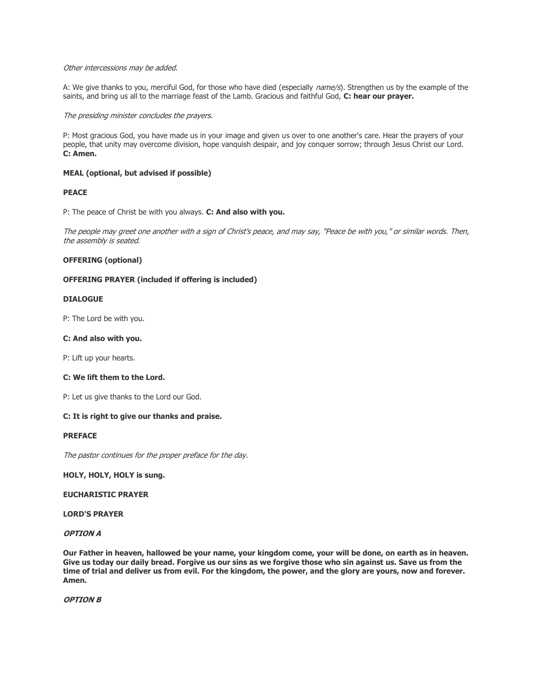## Other intercessions may be added.

A: We give thanks to you, merciful God, for those who have died (especially name/s). Strengthen us by the example of the saints, and bring us all to the marriage feast of the Lamb. Gracious and faithful God, **C: hear our prayer.**

## The presiding minister concludes the prayers.

P: Most gracious God, you have made us in your image and given us over to one another's care. Hear the prayers of your people, that unity may overcome division, hope vanquish despair, and joy conquer sorrow; through Jesus Christ our Lord. **C: Amen.**

## **MEAL (optional, but advised if possible)**

# **PEACE**

P: The peace of Christ be with you always. **C: And also with you.**

The people may greet one another with a sign of Christ's peace, and may say, "Peace be with you," or similar words. Then, the assembly is seated.

## **OFFERING (optional)**

# **OFFERING PRAYER (included if offering is included)**

# **DIALOGUE**

P: The Lord be with you.

### **C: And also with you.**

P: Lift up your hearts.

## **C: We lift them to the Lord.**

P: Let us give thanks to the Lord our God.

## **C: It is right to give our thanks and praise.**

## **PREFACE**

The pastor continues for the proper preface for the day.

**HOLY, HOLY, HOLY is sung.**

## **EUCHARISTIC PRAYER**

**LORD'S PRAYER**

## **OPTION A**

**Our Father in heaven, hallowed be your name, your kingdom come, your will be done, on earth as in heaven. Give us today our daily bread. Forgive us our sins as we forgive those who sin against us. Save us from the time of trial and deliver us from evil. For the kingdom, the power, and the glory are yours, now and forever. Amen.**

**OPTION B**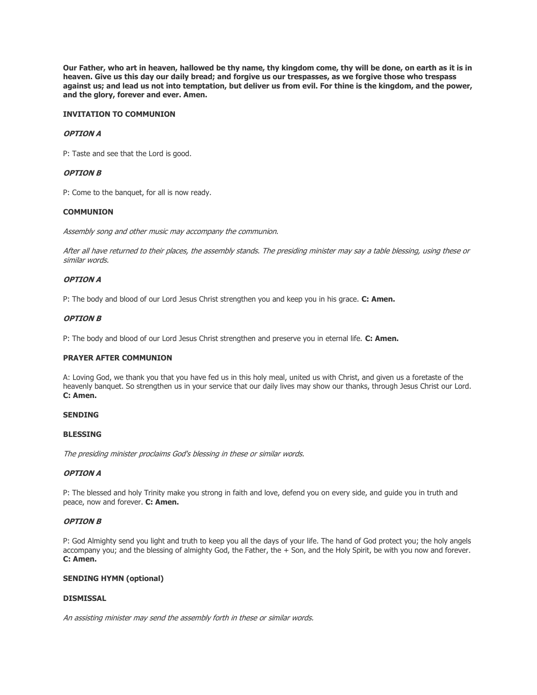**Our Father, who art in heaven, hallowed be thy name, thy kingdom come, thy will be done, on earth as it is in heaven. Give us this day our daily bread; and forgive us our trespasses, as we forgive those who trespass against us; and lead us not into temptation, but deliver us from evil. For thine is the kingdom, and the power, and the glory, forever and ever. Amen.**

## **INVITATION TO COMMUNION**

## **OPTION A**

P: Taste and see that the Lord is good.

## **OPTION B**

P: Come to the banquet, for all is now ready.

# **COMMUNION**

Assembly song and other music may accompany the communion.

After all have returned to their places, the assembly stands. The presiding minister may say a table blessing, using these or similar words.

## **OPTION A**

P: The body and blood of our Lord Jesus Christ strengthen you and keep you in his grace. **C: Amen.**

# **OPTION B**

P: The body and blood of our Lord Jesus Christ strengthen and preserve you in eternal life. **C: Amen.**

# **PRAYER AFTER COMMUNION**

A: Loving God, we thank you that you have fed us in this holy meal, united us with Christ, and given us a foretaste of the heavenly banquet. So strengthen us in your service that our daily lives may show our thanks, through Jesus Christ our Lord. **C: Amen.**

## **SENDING**

# **BLESSING**

The presiding minister proclaims God's blessing in these or similar words.

## **OPTION A**

P: The blessed and holy Trinity make you strong in faith and love, defend you on every side, and guide you in truth and peace, now and forever. **C: Amen.**

## **OPTION B**

P: God Almighty send you light and truth to keep you all the days of your life. The hand of God protect you; the holy angels accompany you; and the blessing of almighty God, the Father, the + Son, and the Holy Spirit, be with you now and forever. **C: Amen.**

## **SENDING HYMN (optional)**

# **DISMISSAL**

An assisting minister may send the assembly forth in these or similar words.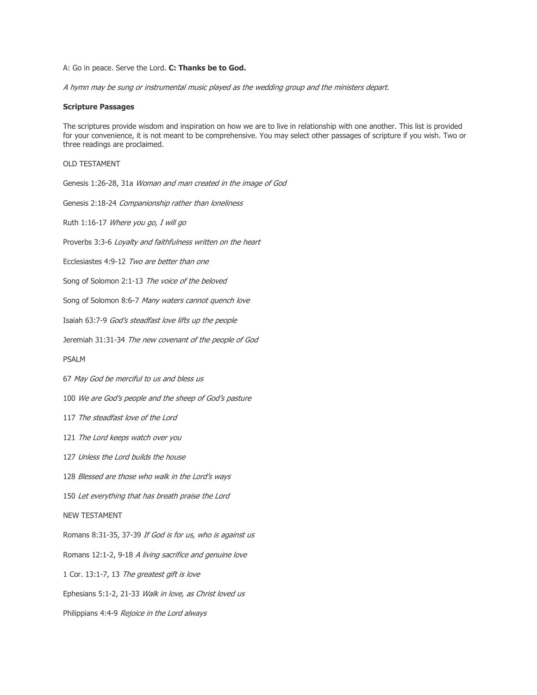## A: Go in peace. Serve the Lord. **C: Thanks be to God.**

A hymn may be sung or instrumental music played as the wedding group and the ministers depart.

## **Scripture Passages**

The scriptures provide wisdom and inspiration on how we are to live in relationship with one another. This list is provided for your convenience, it is not meant to be comprehensive. You may select other passages of scripture if you wish. Two or three readings are proclaimed.

OLD TESTAMENT

Genesis 1:26-28, 31a Woman and man created in the image of God

Genesis 2:18-24 Companionship rather than loneliness

Ruth 1:16-17 Where you go, I will go

Proverbs 3:3-6 Loyalty and faithfulness written on the heart

Ecclesiastes 4:9-12 Two are better than one

Song of Solomon 2:1-13 The voice of the beloved

Song of Solomon 8:6-7 Many waters cannot quench love

Isaiah 63:7-9 God's steadfast love lifts up the people

Jeremiah 31:31-34 The new covenant of the people of God

PSALM

67 May God be merciful to us and bless us

100 We are God's people and the sheep of God's pasture

117 The steadfast love of the Lord

121 The Lord keeps watch over you

127 Unless the Lord builds the house

128 Blessed are those who walk in the Lord's ways

150 Let everything that has breath praise the Lord

NEW TESTAMENT

Romans 8:31-35, 37-39 If God is for us, who is against us

Romans 12:1-2, 9-18 A living sacrifice and genuine love

1 Cor. 13:1-7, 13 The greatest gift is love

Ephesians 5:1-2, 21-33 Walk in love, as Christ loved us

Philippians 4:4-9 Rejoice in the Lord always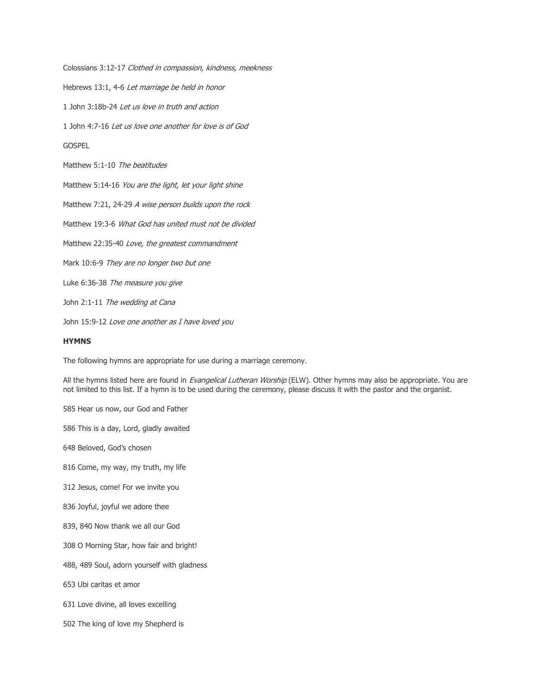Hebrews 13:1, 4-6 Let marriage be held in honor 1 John 3:18b-24 Let us love in truth and action 1 John 4:7-16 Let us love one another for love is of God **GOSPEL** Matthew 5:1-10 The beatitudes Matthew 5:14-16 You are the light, let your light shine Matthew 7:21, 24-29 A wise person builds upon the rock Matthew 19:3-6 What God has united must not be divided Matthew 22:35-40 Love, the greatest commandment Mark 10:6-9 They are no longer two but one Luke 6:36-38 The measure you give John 2:1-11 The wedding at Cana John 15:9-12 Love one another as I have loved you

Colossians 3:12-17 Clothed in compassion, kindness, meekness

## **HYMNS**

The following hymns are appropriate for use during a marriage ceremony.

All the hymns listed here are found in Evangelical Lutheran Worship (ELW). Other hymns may also be appropriate. You are not limited to this list. If a hymn is to be used during the ceremony, please discuss it with the pastor and the organist.

585 Hear us now, our God and Father

586 This is a day, Lord, gladly awaited

648 Beloved, God's chosen

816 Come, my way, my truth, my life

312 Jesus, come! For we invite you

836 Joyful, joyful we adore thee

839, 840 Now thank we all our God

308 O Morning Star, how fair and bright!

488, 489 Soul, adorn yourself with gladness

653 Ubi caritas et amor

631 Love divine, all loves excelling

502 The king of love my Shepherd is